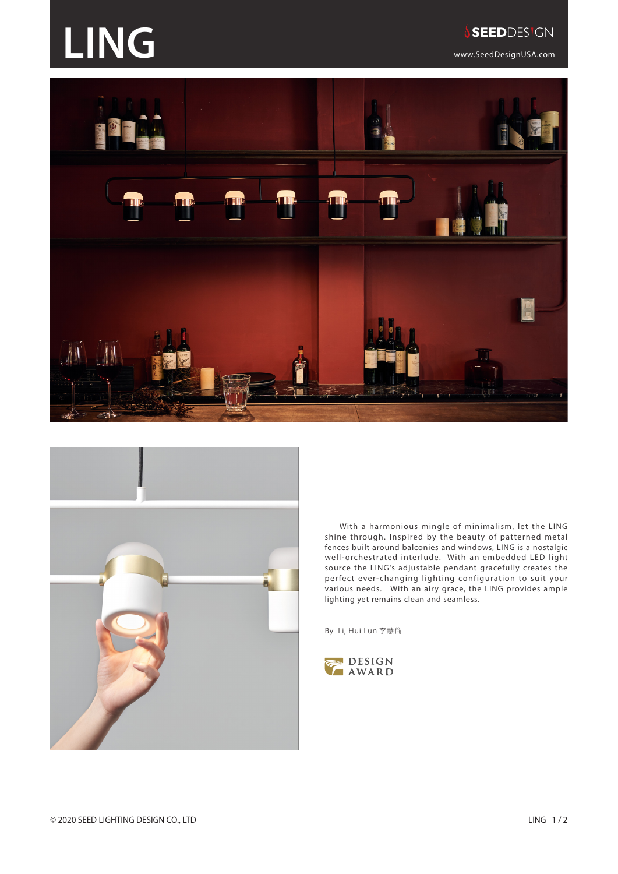## **LING** WEEP WEEP WEEP WAS EEP DESIGN





With a harmonious mingle of minimalism, let the LING shine through. Inspired by the beauty of patterned metal fences built around balconies and windows, LING is a nostalgic well-orchestrated interlude. With an embedded LED light source the LING's adjustable pendant gracefully creates the perfect ever-changing lighting configuration to suit your various needs. With an airy grace, the LING provides ample lighting yet remains clean and seamless.

By Li, Hui Lun 李慧倫